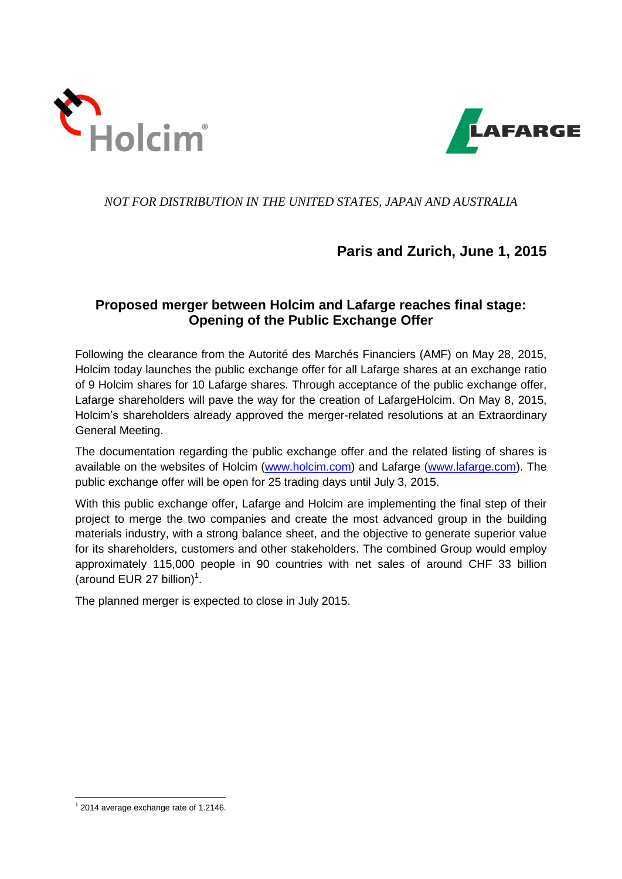



### *NOT FOR DISTRIBUTION IN THE UNITED STATES, JAPAN AND AUSTRALIA*

# **Paris and Zurich, June 1, 2015**

## **Proposed merger between Holcim and Lafarge reaches final stage: Opening of the Public Exchange Offer**

Following the clearance from the Autorité des Marchés Financiers (AMF) on May 28, 2015, Holcim today launches the public exchange offer for all Lafarge shares at an exchange ratio of 9 Holcim shares for 10 Lafarge shares. Through acceptance of the public exchange offer, Lafarge shareholders will pave the way for the creation of LafargeHolcim. On May 8, 2015, Holcim's shareholders already approved the merger-related resolutions at an Extraordinary General Meeting.

The documentation regarding the public exchange offer and the related listing of shares is available on the websites of Holcim [\(www.holcim.com\)](http://www.holcim.com/) and Lafarge [\(www.lafarge.com\)](http://www.lafarge.com/). The public exchange offer will be open for 25 trading days until July 3, 2015.

With this public exchange offer, Lafarge and Holcim are implementing the final step of their project to merge the two companies and create the most advanced group in the building materials industry, with a strong balance sheet, and the objective to generate superior value for its shareholders, customers and other stakeholders. The combined Group would employ approximately 115,000 people in 90 countries with net sales of around CHF 33 billion (around EUR 27 billion)<sup>1</sup>.

The planned merger is expected to close in July 2015.

<sup>1</sup> 1 2014 average exchange rate of 1.2146.